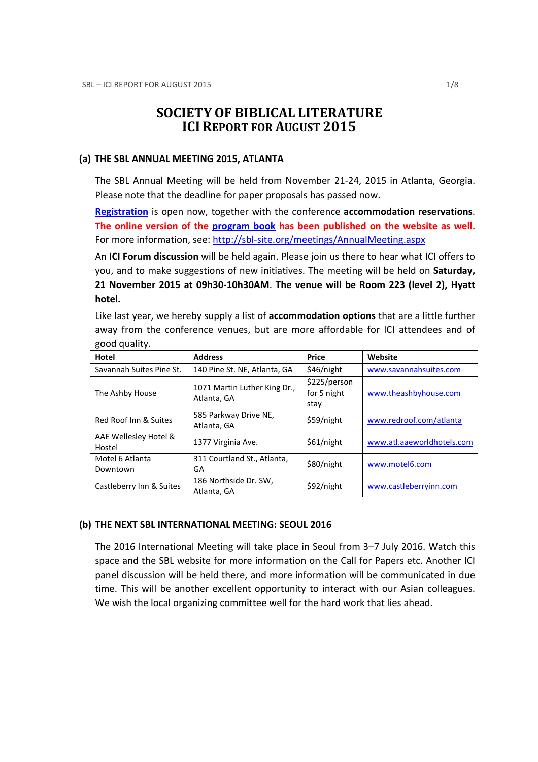# SOCIETY OF BIBLICAL LITERATURE ICI REPORT FOR AUGUST 2015

#### (a) THE SBL ANNUAL MEETING 2015, ATLANTA

The SBL Annual Meeting will be held from November 21-24, 2015 in Atlanta, Georgia. Please note that the deadline for paper proposals has passed now.

Registration is open now, together with the conference accommodation reservations. The online version of the program book has been published on the website as well. For more information, see: http://sbl-site.org/meetings/AnnualMeeting.aspx

An **ICI Forum discussion** will be held again. Please join us there to hear what ICI offers to you, and to make suggestions of new initiatives. The meeting will be held on Saturday, 21 November 2015 at 09h30-10h30AM. The venue will be Room 223 (level 2), Hyatt hotel.

Like last year, we hereby supply a list of accommodation options that are a little further away from the conference venues, but are more affordable for ICI attendees and of good quality.

| Hotel                           | <b>Address</b>                              | Price                               | Website                    |
|---------------------------------|---------------------------------------------|-------------------------------------|----------------------------|
| Savannah Suites Pine St.        | 140 Pine St. NE, Atlanta, GA                | \$46/night                          | www.savannahsuites.com     |
| The Ashby House                 | 1071 Martin Luther King Dr.,<br>Atlanta, GA | \$225/person<br>for 5 night<br>stay | www.theashbyhouse.com      |
| Red Roof Inn & Suites           | 585 Parkway Drive NE,<br>Atlanta, GA        | \$59/night                          | www.redroof.com/atlanta    |
| AAE Wellesley Hotel &<br>Hostel | 1377 Virginia Ave.                          | \$61/night                          | www.atl.aaeworldhotels.com |
| Motel 6 Atlanta<br>Downtown     | 311 Courtland St., Atlanta,<br>GA           | \$80/night                          | www.motel6.com             |
| Castleberry Inn & Suites        | 186 Northside Dr. SW,<br>Atlanta, GA        | \$92/night                          | www.castleberryinn.com     |

#### (b) THE NEXT SBL INTERNATIONAL MEETING: SEOUL 2016

The 2016 International Meeting will take place in Seoul from 3–7 July 2016. Watch this space and the SBL website for more information on the Call for Papers etc. Another ICI panel discussion will be held there, and more information will be communicated in due time. This will be another excellent opportunity to interact with our Asian colleagues. We wish the local organizing committee well for the hard work that lies ahead.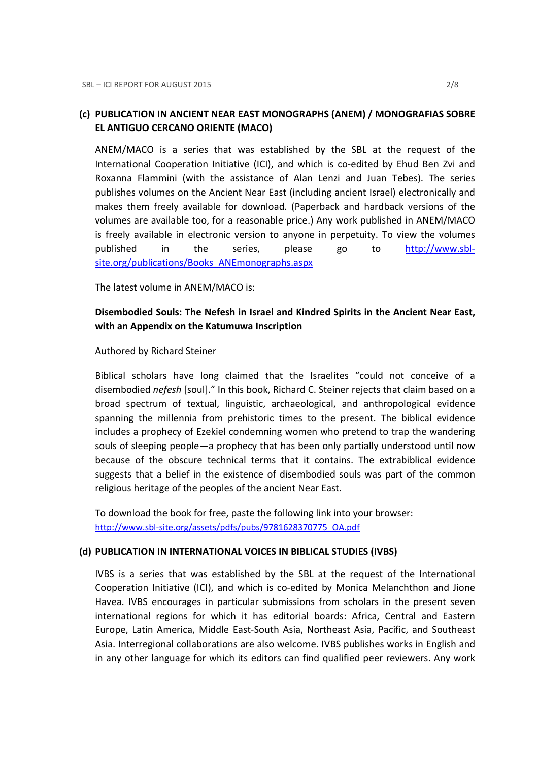## (c) PUBLICATION IN ANCIENT NEAR EAST MONOGRAPHS (ANEM) / MONOGRAFIAS SOBRE EL ANTIGUO CERCANO ORIENTE (MACO)

ANEM/MACO is a series that was established by the SBL at the request of the International Cooperation Initiative (ICI), and which is co-edited by Ehud Ben Zvi and Roxanna Flammini (with the assistance of Alan Lenzi and Juan Tebes). The series publishes volumes on the Ancient Near East (including ancient Israel) electronically and makes them freely available for download. (Paperback and hardback versions of the volumes are available too, for a reasonable price.) Any work published in ANEM/MACO is freely available in electronic version to anyone in perpetuity. To view the volumes published in the series, please go to http://www.sblsite.org/publications/Books\_ANEmonographs.aspx

The latest volume in ANEM/MACO is:

# Disembodied Souls: The Nefesh in Israel and Kindred Spirits in the Ancient Near East, with an Appendix on the Katumuwa Inscription

Authored by Richard Steiner

Biblical scholars have long claimed that the Israelites "could not conceive of a disembodied nefesh [soul]." In this book, Richard C. Steiner rejects that claim based on a broad spectrum of textual, linguistic, archaeological, and anthropological evidence spanning the millennia from prehistoric times to the present. The biblical evidence includes a prophecy of Ezekiel condemning women who pretend to trap the wandering souls of sleeping people—a prophecy that has been only partially understood until now because of the obscure technical terms that it contains. The extrabiblical evidence suggests that a belief in the existence of disembodied souls was part of the common religious heritage of the peoples of the ancient Near East.

To download the book for free, paste the following link into your browser: http://www.sbl-site.org/assets/pdfs/pubs/9781628370775\_OA.pdf

#### (d) PUBLICATION IN INTERNATIONAL VOICES IN BIBLICAL STUDIES (IVBS)

IVBS is a series that was established by the SBL at the request of the International Cooperation Initiative (ICI), and which is co-edited by Monica Melanchthon and Jione Havea. IVBS encourages in particular submissions from scholars in the present seven international regions for which it has editorial boards: Africa, Central and Eastern Europe, Latin America, Middle East-South Asia, Northeast Asia, Pacific, and Southeast Asia. Interregional collaborations are also welcome. IVBS publishes works in English and in any other language for which its editors can find qualified peer reviewers. Any work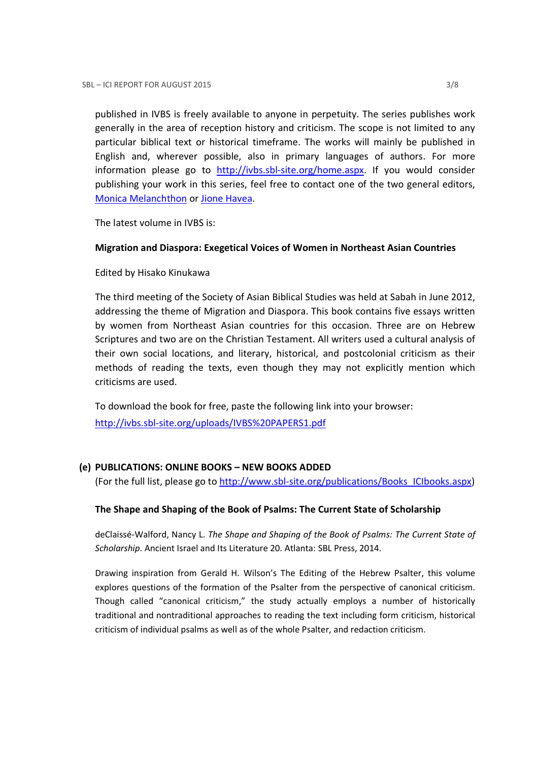published in IVBS is freely available to anyone in perpetuity. The series publishes work generally in the area of reception history and criticism. The scope is not limited to any particular biblical text or historical timeframe. The works will mainly be published in English and, wherever possible, also in primary languages of authors. For more information please go to http://ivbs.sbl-site.org/home.aspx. If you would consider publishing your work in this series, feel free to contact one of the two general editors, Monica Melanchthon or Jione Havea.

The latest volume in IVBS is:

### Migration and Diaspora: Exegetical Voices of Women in Northeast Asian Countries

Edited by Hisako Kinukawa

The third meeting of the Society of Asian Biblical Studies was held at Sabah in June 2012, addressing the theme of Migration and Diaspora. This book contains five essays written by women from Northeast Asian countries for this occasion. Three are on Hebrew Scriptures and two are on the Christian Testament. All writers used a cultural analysis of their own social locations, and literary, historical, and postcolonial criticism as their methods of reading the texts, even though they may not explicitly mention which criticisms are used.

To download the book for free, paste the following link into your browser: http://ivbs.sbl-site.org/uploads/IVBS%20PAPERS1.pdf

### (e) PUBLICATIONS: ONLINE BOOKS – NEW BOOKS ADDED

(For the full list, please go to http://www.sbl-site.org/publications/Books\_ICIbooks.aspx)

### The Shape and Shaping of the Book of Psalms: The Current State of Scholarship

deClaissé-Walford, Nancy L. The Shape and Shaping of the Book of Psalms: The Current State of Scholarship. Ancient Israel and Its Literature 20. Atlanta: SBL Press, 2014.

Drawing inspiration from Gerald H. Wilson's The Editing of the Hebrew Psalter, this volume explores questions of the formation of the Psalter from the perspective of canonical criticism. Though called "canonical criticism," the study actually employs a number of historically traditional and nontraditional approaches to reading the text including form criticism, historical criticism of individual psalms as well as of the whole Psalter, and redaction criticism.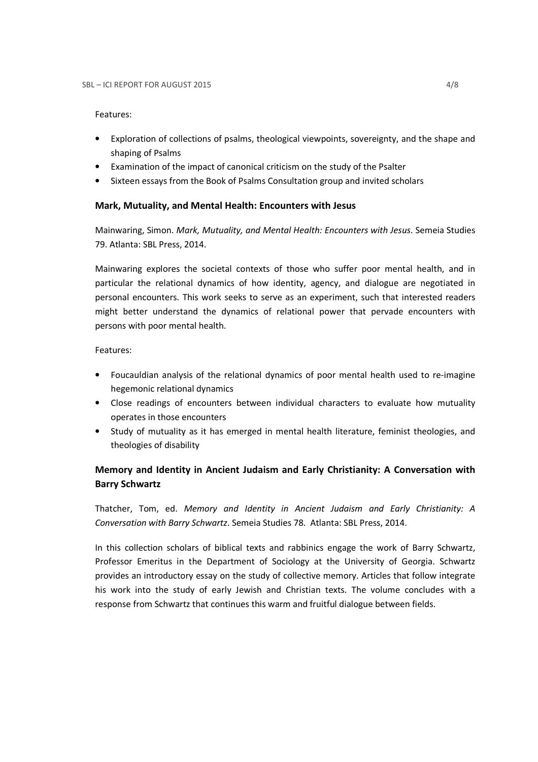#### Features:

- Exploration of collections of psalms, theological viewpoints, sovereignty, and the shape and shaping of Psalms
- Examination of the impact of canonical criticism on the study of the Psalter
- Sixteen essays from the Book of Psalms Consultation group and invited scholars

### Mark, Mutuality, and Mental Health: Encounters with Jesus

Mainwaring, Simon. Mark, Mutuality, and Mental Health: Encounters with Jesus. Semeia Studies 79. Atlanta: SBL Press, 2014.

Mainwaring explores the societal contexts of those who suffer poor mental health, and in particular the relational dynamics of how identity, agency, and dialogue are negotiated in personal encounters. This work seeks to serve as an experiment, such that interested readers might better understand the dynamics of relational power that pervade encounters with persons with poor mental health.

### Features:

- Foucauldian analysis of the relational dynamics of poor mental health used to re-imagine hegemonic relational dynamics
- Close readings of encounters between individual characters to evaluate how mutuality operates in those encounters
- Study of mutuality as it has emerged in mental health literature, feminist theologies, and theologies of disability

# Memory and Identity in Ancient Judaism and Early Christianity: A Conversation with Barry Schwartz

Thatcher, Tom, ed. Memory and Identity in Ancient Judaism and Early Christianity: A Conversation with Barry Schwartz. Semeia Studies 78. Atlanta: SBL Press, 2014.

In this collection scholars of biblical texts and rabbinics engage the work of Barry Schwartz, Professor Emeritus in the Department of Sociology at the University of Georgia. Schwartz provides an introductory essay on the study of collective memory. Articles that follow integrate his work into the study of early Jewish and Christian texts. The volume concludes with a response from Schwartz that continues this warm and fruitful dialogue between fields.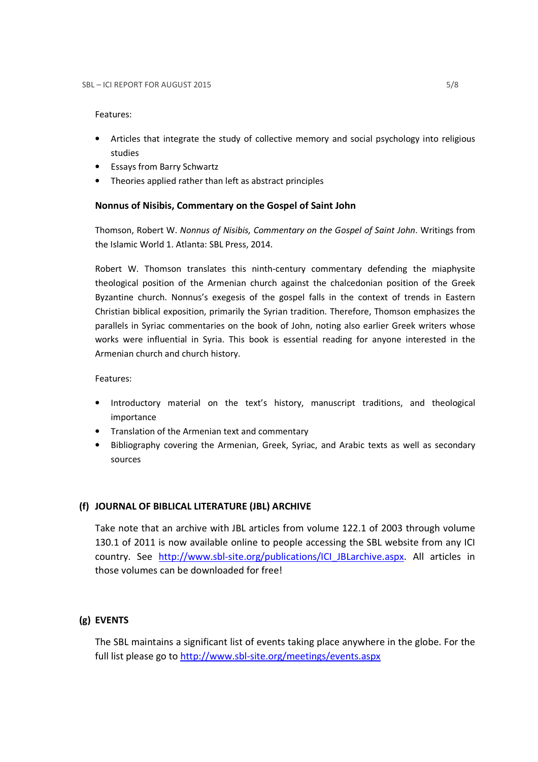### Features:

- Articles that integrate the study of collective memory and social psychology into religious studies
- Essays from Barry Schwartz
- Theories applied rather than left as abstract principles

### Nonnus of Nisibis, Commentary on the Gospel of Saint John

Thomson, Robert W. Nonnus of Nisibis, Commentary on the Gospel of Saint John. Writings from the Islamic World 1. Atlanta: SBL Press, 2014.

Robert W. Thomson translates this ninth-century commentary defending the miaphysite theological position of the Armenian church against the chalcedonian position of the Greek Byzantine church. Nonnus's exegesis of the gospel falls in the context of trends in Eastern Christian biblical exposition, primarily the Syrian tradition. Therefore, Thomson emphasizes the parallels in Syriac commentaries on the book of John, noting also earlier Greek writers whose works were influential in Syria. This book is essential reading for anyone interested in the Armenian church and church history.

Features:

- Introductory material on the text's history, manuscript traditions, and theological importance
- Translation of the Armenian text and commentary
- Bibliography covering the Armenian, Greek, Syriac, and Arabic texts as well as secondary sources

### (f) JOURNAL OF BIBLICAL LITERATURE (JBL) ARCHIVE

Take note that an archive with JBL articles from volume 122.1 of 2003 through volume 130.1 of 2011 is now available online to people accessing the SBL website from any ICI country. See http://www.sbl-site.org/publications/ICI\_JBLarchive.aspx. All articles in those volumes can be downloaded for free!

### (g) EVENTS

The SBL maintains a significant list of events taking place anywhere in the globe. For the full list please go to http://www.sbl-site.org/meetings/events.aspx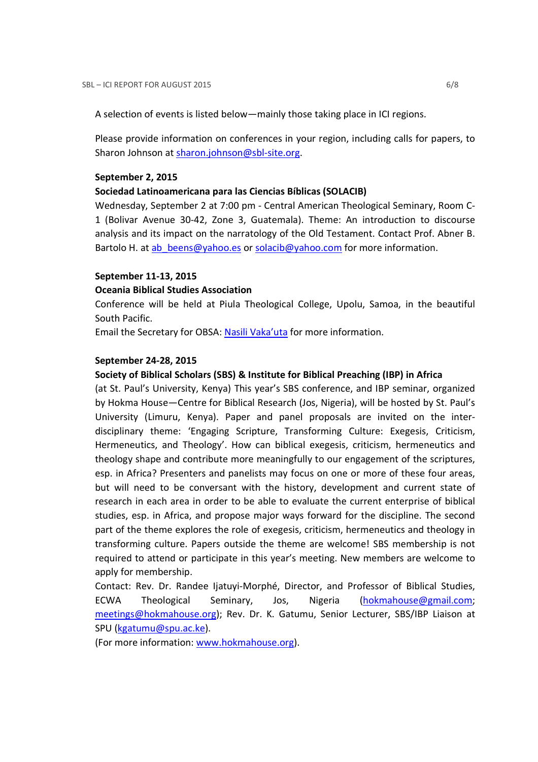A selection of events is listed below—mainly those taking place in ICI regions.

Please provide information on conferences in your region, including calls for papers, to Sharon Johnson at sharon.johnson@sbl-site.org.

#### September 2, 2015

### Sociedad Latinoamericana para las Ciencias Bíblicas (SOLACIB)

Wednesday, September 2 at 7:00 pm - Central American Theological Seminary, Room C-1 (Bolivar Avenue 30-42, Zone 3, Guatemala). Theme: An introduction to discourse analysis and its impact on the narratology of the Old Testament. Contact Prof. Abner B. Bartolo H. at ab beens@yahoo.es or solacib@yahoo.com for more information.

### September 11-13, 2015

### Oceania Biblical Studies Association

Conference will be held at Piula Theological College, Upolu, Samoa, in the beautiful South Pacific.

Email the Secretary for OBSA: Nasili Vaka'uta for more information.

#### September 24-28, 2015

### Society of Biblical Scholars (SBS) & Institute for Biblical Preaching (IBP) in Africa

(at St. Paul's University, Kenya) This year's SBS conference, and IBP seminar, organized by Hokma House—Centre for Biblical Research (Jos, Nigeria), will be hosted by St. Paul's University (Limuru, Kenya). Paper and panel proposals are invited on the interdisciplinary theme: 'Engaging Scripture, Transforming Culture: Exegesis, Criticism, Hermeneutics, and Theology'. How can biblical exegesis, criticism, hermeneutics and theology shape and contribute more meaningfully to our engagement of the scriptures, esp. in Africa? Presenters and panelists may focus on one or more of these four areas, but will need to be conversant with the history, development and current state of research in each area in order to be able to evaluate the current enterprise of biblical studies, esp. in Africa, and propose major ways forward for the discipline. The second part of the theme explores the role of exegesis, criticism, hermeneutics and theology in transforming culture. Papers outside the theme are welcome! SBS membership is not required to attend or participate in this year's meeting. New members are welcome to apply for membership.

Contact: Rev. Dr. Randee Ijatuyi-Morphé, Director, and Professor of Biblical Studies, ECWA Theological Seminary, Jos, Nigeria (hokmahouse@gmail.com; meetings@hokmahouse.org); Rev. Dr. K. Gatumu, Senior Lecturer, SBS/IBP Liaison at SPU (kgatumu@spu.ac.ke).

(For more information: www.hokmahouse.org).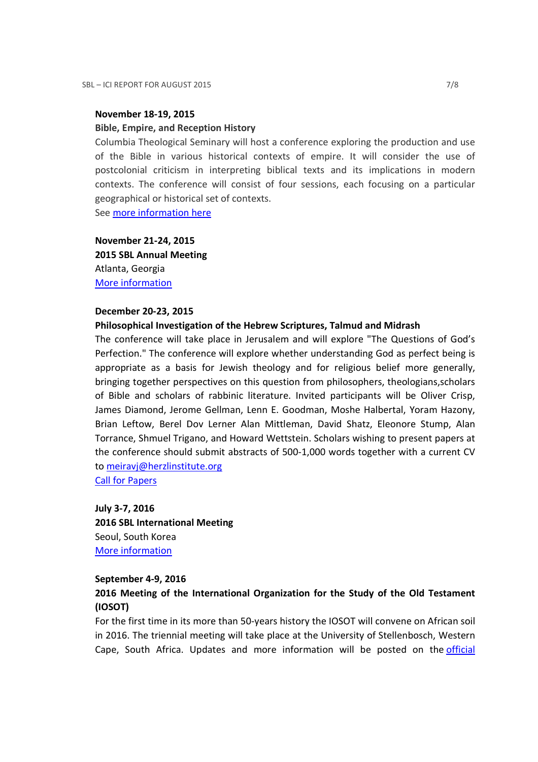### November 18-19, 2015

#### Bible, Empire, and Reception History

Columbia Theological Seminary will host a conference exploring the production and use of the Bible in various historical contexts of empire. It will consider the use of postcolonial criticism in interpreting biblical texts and its implications in modern contexts. The conference will consist of four sessions, each focusing on a particular geographical or historical set of contexts.

See more information here

November 21-24, 2015 2015 SBL Annual Meeting Atlanta, Georgia More information

#### December 20-23, 2015

#### Philosophical Investigation of the Hebrew Scriptures, Talmud and Midrash

The conference will take place in Jerusalem and will explore "The Questions of God's Perfection." The conference will explore whether understanding God as perfect being is appropriate as a basis for Jewish theology and for religious belief more generally, bringing together perspectives on this question from philosophers, theologians,scholars of Bible and scholars of rabbinic literature. Invited participants will be Oliver Crisp, James Diamond, Jerome Gellman, Lenn E. Goodman, Moshe Halbertal, Yoram Hazony, Brian Leftow, Berel Dov Lerner Alan Mittleman, David Shatz, Eleonore Stump, Alan Torrance, Shmuel Trigano, and Howard Wettstein. Scholars wishing to present papers at the conference should submit abstracts of 500-1,000 words together with a current CV to meiravj@herzlinstitute.org

Call for Papers

July 3-7, 2016 2016 SBL International Meeting Seoul, South Korea More information

#### September 4-9, 2016

## 2016 Meeting of the International Organization for the Study of the Old Testament (IOSOT)

For the first time in its more than 50-years history the IOSOT will convene on African soil in 2016. The triennial meeting will take place at the University of Stellenbosch, Western Cape, South Africa. Updates and more information will be posted on the official